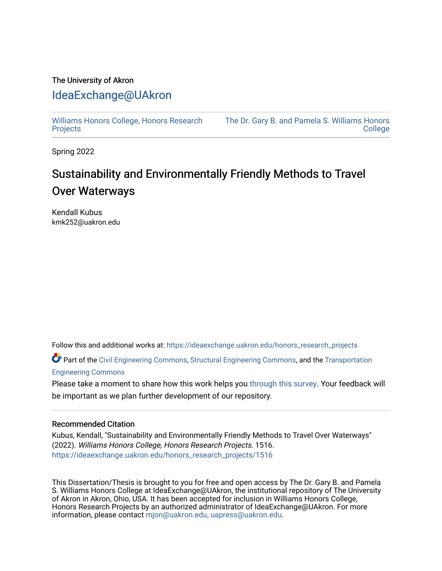## The University of Akron [IdeaExchange@UAkron](https://ideaexchange.uakron.edu/)

[Williams Honors College, Honors Research](https://ideaexchange.uakron.edu/honors_research_projects)  **[Projects](https://ideaexchange.uakron.edu/honors_research_projects)** 

[The Dr. Gary B. and Pamela S. Williams Honors](https://ideaexchange.uakron.edu/honorscollege_ideas)  **College** 

Spring 2022

## Sustainability and Environmentally Friendly Methods to Travel Over Waterways

Kendall Kubus kmk252@uakron.edu

Follow this and additional works at: [https://ideaexchange.uakron.edu/honors\\_research\\_projects](https://ideaexchange.uakron.edu/honors_research_projects?utm_source=ideaexchange.uakron.edu%2Fhonors_research_projects%2F1516&utm_medium=PDF&utm_campaign=PDFCoverPages) 

Part of the [Civil Engineering Commons](http://network.bepress.com/hgg/discipline/252?utm_source=ideaexchange.uakron.edu%2Fhonors_research_projects%2F1516&utm_medium=PDF&utm_campaign=PDFCoverPages), [Structural Engineering Commons](http://network.bepress.com/hgg/discipline/256?utm_source=ideaexchange.uakron.edu%2Fhonors_research_projects%2F1516&utm_medium=PDF&utm_campaign=PDFCoverPages), and the Transportation [Engineering Commons](http://network.bepress.com/hgg/discipline/1329?utm_source=ideaexchange.uakron.edu%2Fhonors_research_projects%2F1516&utm_medium=PDF&utm_campaign=PDFCoverPages) 

Please take a moment to share how this work helps you [through this survey](http://survey.az1.qualtrics.com/SE/?SID=SV_eEVH54oiCbOw05f&URL=https://ideaexchange.uakron.edu/honors_research_projects/1516). Your feedback will be important as we plan further development of our repository.

### Recommended Citation

Kubus, Kendall, "Sustainability and Environmentally Friendly Methods to Travel Over Waterways" (2022). Williams Honors College, Honors Research Projects. 1516. [https://ideaexchange.uakron.edu/honors\\_research\\_projects/1516](https://ideaexchange.uakron.edu/honors_research_projects/1516?utm_source=ideaexchange.uakron.edu%2Fhonors_research_projects%2F1516&utm_medium=PDF&utm_campaign=PDFCoverPages) 

This Dissertation/Thesis is brought to you for free and open access by The Dr. Gary B. and Pamela S. Williams Honors College at IdeaExchange@UAkron, the institutional repository of The University of Akron in Akron, Ohio, USA. It has been accepted for inclusion in Williams Honors College, Honors Research Projects by an authorized administrator of IdeaExchange@UAkron. For more information, please contact [mjon@uakron.edu, uapress@uakron.edu.](mailto:mjon@uakron.edu,%20uapress@uakron.edu)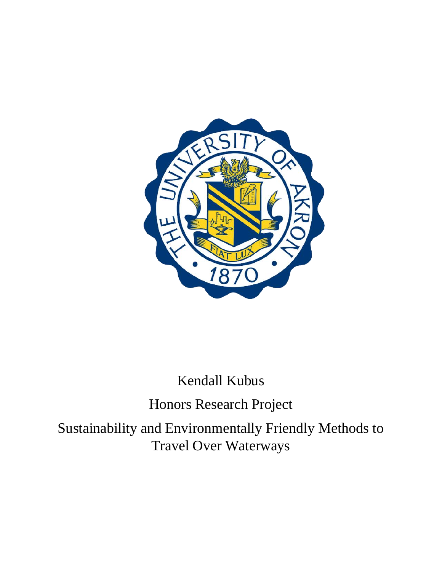

## Kendall Kubus

Honors Research Project

Sustainability and Environmentally Friendly Methods to Travel Over Waterways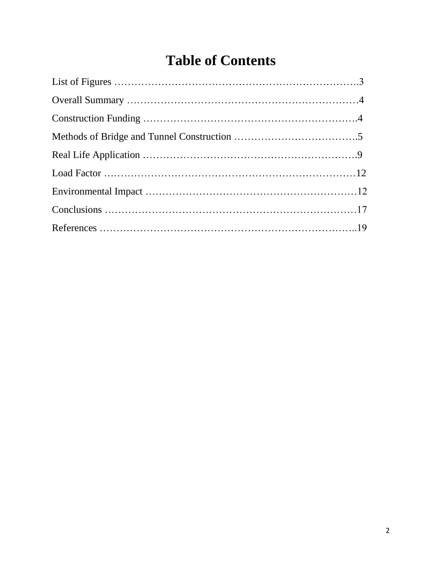## **Table of Contents**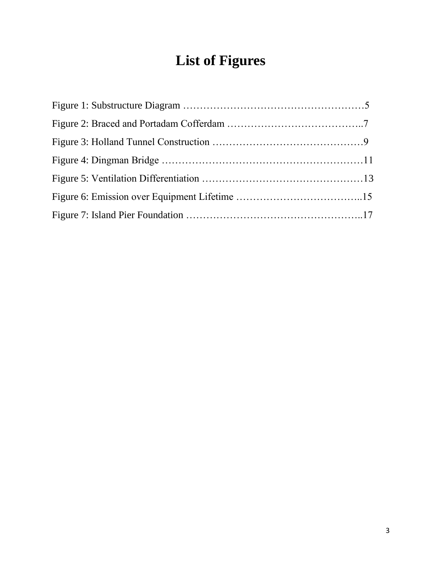# **List of Figures**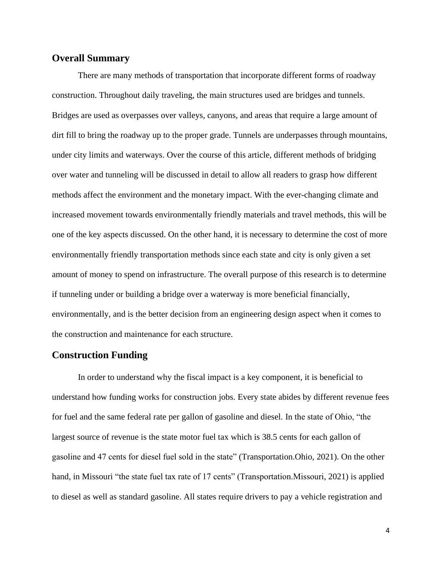### **Overall Summary**

There are many methods of transportation that incorporate different forms of roadway construction. Throughout daily traveling, the main structures used are bridges and tunnels. Bridges are used as overpasses over valleys, canyons, and areas that require a large amount of dirt fill to bring the roadway up to the proper grade. Tunnels are underpasses through mountains, under city limits and waterways. Over the course of this article, different methods of bridging over water and tunneling will be discussed in detail to allow all readers to grasp how different methods affect the environment and the monetary impact. With the ever-changing climate and increased movement towards environmentally friendly materials and travel methods, this will be one of the key aspects discussed. On the other hand, it is necessary to determine the cost of more environmentally friendly transportation methods since each state and city is only given a set amount of money to spend on infrastructure. The overall purpose of this research is to determine if tunneling under or building a bridge over a waterway is more beneficial financially, environmentally, and is the better decision from an engineering design aspect when it comes to the construction and maintenance for each structure.

### **Construction Funding**

In order to understand why the fiscal impact is a key component, it is beneficial to understand how funding works for construction jobs. Every state abides by different revenue fees for fuel and the same federal rate per gallon of gasoline and diesel. In the state of Ohio, "the largest source of revenue is the state motor fuel tax which is 38.5 cents for each gallon of gasoline and 47 cents for diesel fuel sold in the state" (Transportation.Ohio, 2021). On the other hand, in Missouri "the state fuel tax rate of 17 cents" (Transportation.Missouri, 2021) is applied to diesel as well as standard gasoline. All states require drivers to pay a vehicle registration and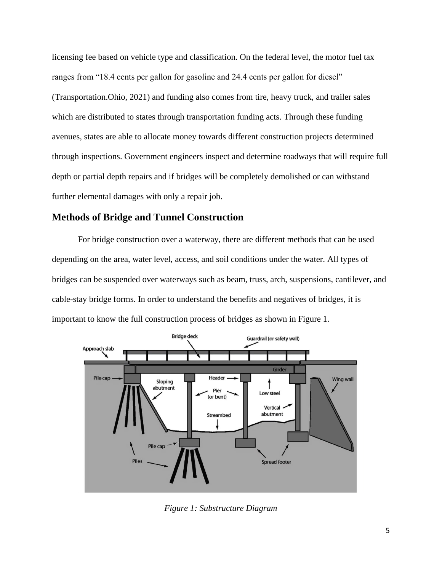licensing fee based on vehicle type and classification. On the federal level, the motor fuel tax ranges from "18.4 cents per gallon for gasoline and 24.4 cents per gallon for diesel" (Transportation.Ohio, 2021) and funding also comes from tire, heavy truck, and trailer sales which are distributed to states through transportation funding acts. Through these funding avenues, states are able to allocate money towards different construction projects determined through inspections. Government engineers inspect and determine roadways that will require full depth or partial depth repairs and if bridges will be completely demolished or can withstand further elemental damages with only a repair job.

## **Methods of Bridge and Tunnel Construction**

For bridge construction over a waterway, there are different methods that can be used depending on the area, water level, access, and soil conditions under the water. All types of bridges can be suspended over waterways such as beam, truss, arch, suspensions, cantilever, and cable-stay bridge forms. In order to understand the benefits and negatives of bridges, it is important to know the full construction process of bridges as shown in Figure 1.



*Figure 1: Substructure Diagram*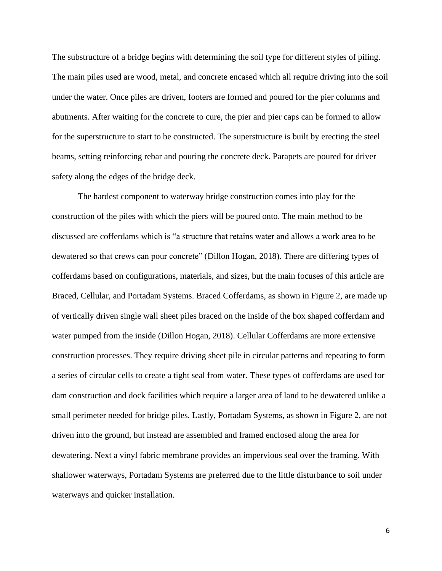The substructure of a bridge begins with determining the soil type for different styles of piling. The main piles used are wood, metal, and concrete encased which all require driving into the soil under the water. Once piles are driven, footers are formed and poured for the pier columns and abutments. After waiting for the concrete to cure, the pier and pier caps can be formed to allow for the superstructure to start to be constructed. The superstructure is built by erecting the steel beams, setting reinforcing rebar and pouring the concrete deck. Parapets are poured for driver safety along the edges of the bridge deck.

The hardest component to waterway bridge construction comes into play for the construction of the piles with which the piers will be poured onto. The main method to be discussed are cofferdams which is "a structure that retains water and allows a work area to be dewatered so that crews can pour concrete" (Dillon Hogan, 2018). There are differing types of cofferdams based on configurations, materials, and sizes, but the main focuses of this article are Braced, Cellular, and Portadam Systems. Braced Cofferdams, as shown in Figure 2, are made up of vertically driven single wall sheet piles braced on the inside of the box shaped cofferdam and water pumped from the inside (Dillon Hogan, 2018). Cellular Cofferdams are more extensive construction processes. They require driving sheet pile in circular patterns and repeating to form a series of circular cells to create a tight seal from water. These types of cofferdams are used for dam construction and dock facilities which require a larger area of land to be dewatered unlike a small perimeter needed for bridge piles. Lastly, Portadam Systems, as shown in Figure 2, are not driven into the ground, but instead are assembled and framed enclosed along the area for dewatering. Next a vinyl fabric membrane provides an impervious seal over the framing. With shallower waterways, Portadam Systems are preferred due to the little disturbance to soil under waterways and quicker installation.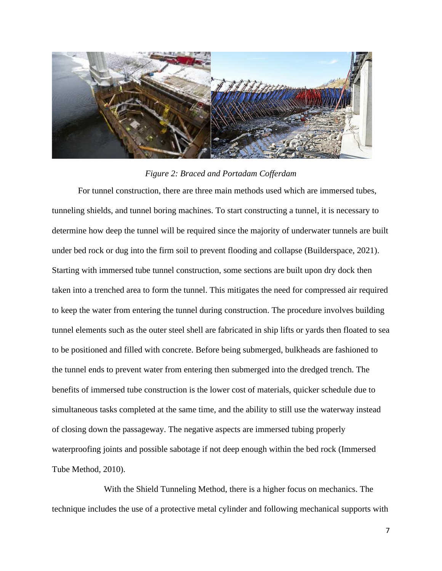

#### *Figure 2: Braced and Portadam Cofferdam*

For tunnel construction, there are three main methods used which are immersed tubes, tunneling shields, and tunnel boring machines. To start constructing a tunnel, it is necessary to determine how deep the tunnel will be required since the majority of underwater tunnels are built under bed rock or dug into the firm soil to prevent flooding and collapse (Builderspace, 2021). Starting with immersed tube tunnel construction, some sections are built upon dry dock then taken into a trenched area to form the tunnel. This mitigates the need for compressed air required to keep the water from entering the tunnel during construction. The procedure involves building tunnel elements such as the outer steel shell are fabricated in ship lifts or yards then floated to sea to be positioned and filled with concrete. Before being submerged, bulkheads are fashioned to the tunnel ends to prevent water from entering then submerged into the dredged trench. The benefits of immersed tube construction is the lower cost of materials, quicker schedule due to simultaneous tasks completed at the same time, and the ability to still use the waterway instead of closing down the passageway. The negative aspects are immersed tubing properly waterproofing joints and possible sabotage if not deep enough within the bed rock (Immersed Tube Method, 2010).

With the Shield Tunneling Method, there is a higher focus on mechanics. The technique includes the use of a protective metal cylinder and following mechanical supports with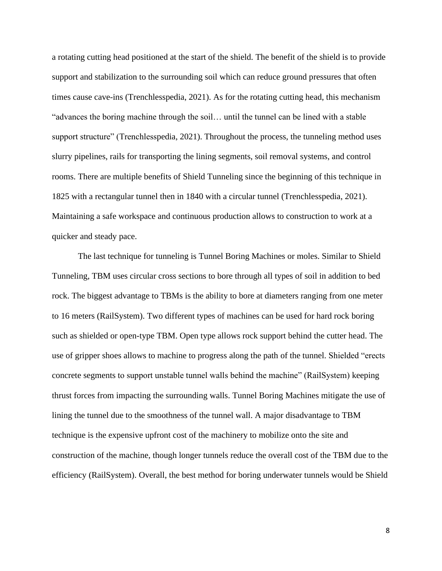a rotating cutting head positioned at the start of the shield. The benefit of the shield is to provide support and stabilization to the surrounding soil which can reduce ground pressures that often times cause cave-ins (Trenchlesspedia, 2021). As for the rotating cutting head, this mechanism "advances the boring machine through the soil… until the tunnel can be lined with a stable support structure" (Trenchlesspedia, 2021). Throughout the process, the tunneling method uses slurry pipelines, rails for transporting the lining segments, soil removal systems, and control rooms. There are multiple benefits of Shield Tunneling since the beginning of this technique in 1825 with a rectangular tunnel then in 1840 with a circular tunnel (Trenchlesspedia, 2021). Maintaining a safe workspace and continuous production allows to construction to work at a quicker and steady pace.

The last technique for tunneling is Tunnel Boring Machines or moles. Similar to Shield Tunneling, TBM uses circular cross sections to bore through all types of soil in addition to bed rock. The biggest advantage to TBMs is the ability to bore at diameters ranging from one meter to 16 meters (RailSystem). Two different types of machines can be used for hard rock boring such as shielded or open-type TBM. Open type allows rock support behind the cutter head. The use of gripper shoes allows to machine to progress along the path of the tunnel. Shielded "erects concrete segments to support unstable tunnel walls behind the machine" (RailSystem) keeping thrust forces from impacting the surrounding walls. Tunnel Boring Machines mitigate the use of lining the tunnel due to the smoothness of the tunnel wall. A major disadvantage to TBM technique is the expensive upfront cost of the machinery to mobilize onto the site and construction of the machine, though longer tunnels reduce the overall cost of the TBM due to the efficiency (RailSystem). Overall, the best method for boring underwater tunnels would be Shield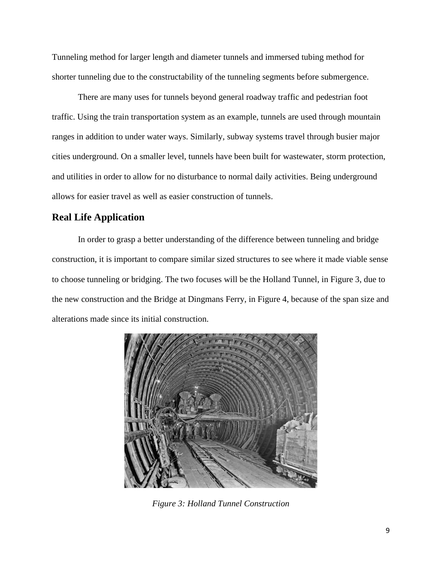Tunneling method for larger length and diameter tunnels and immersed tubing method for shorter tunneling due to the constructability of the tunneling segments before submergence.

There are many uses for tunnels beyond general roadway traffic and pedestrian foot traffic. Using the train transportation system as an example, tunnels are used through mountain ranges in addition to under water ways. Similarly, subway systems travel through busier major cities underground. On a smaller level, tunnels have been built for wastewater, storm protection, and utilities in order to allow for no disturbance to normal daily activities. Being underground allows for easier travel as well as easier construction of tunnels.

## **Real Life Application**

In order to grasp a better understanding of the difference between tunneling and bridge construction, it is important to compare similar sized structures to see where it made viable sense to choose tunneling or bridging. The two focuses will be the Holland Tunnel, in Figure 3, due to the new construction and the Bridge at Dingmans Ferry, in Figure 4, because of the span size and alterations made since its initial construction.



*Figure 3: Holland Tunnel Construction*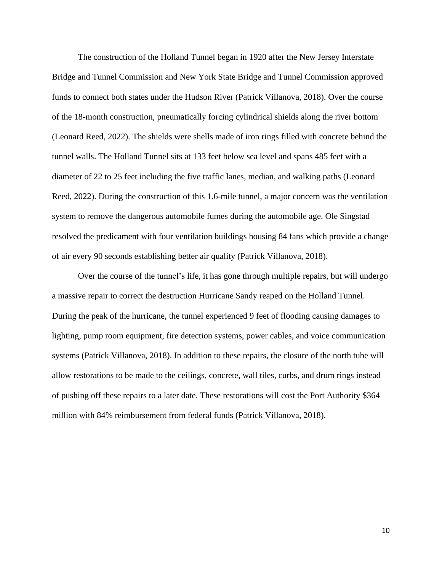The construction of the Holland Tunnel began in 1920 after the New Jersey Interstate Bridge and Tunnel Commission and New York State Bridge and Tunnel Commission approved funds to connect both states under the Hudson River (Patrick Villanova, 2018). Over the course of the 18-month construction, pneumatically forcing cylindrical shields along the river bottom (Leonard Reed, 2022). The shields were shells made of iron rings filled with concrete behind the tunnel walls. The Holland Tunnel sits at 133 feet below sea level and spans 485 feet with a diameter of 22 to 25 feet including the five traffic lanes, median, and walking paths (Leonard Reed, 2022). During the construction of this 1.6-mile tunnel, a major concern was the ventilation system to remove the dangerous automobile fumes during the automobile age. Ole Singstad resolved the predicament with four ventilation buildings housing 84 fans which provide a change of air every 90 seconds establishing better air quality (Patrick Villanova, 2018).

Over the course of the tunnel's life, it has gone through multiple repairs, but will undergo a massive repair to correct the destruction Hurricane Sandy reaped on the Holland Tunnel. During the peak of the hurricane, the tunnel experienced 9 feet of flooding causing damages to lighting, pump room equipment, fire detection systems, power cables, and voice communication systems (Patrick Villanova, 2018). In addition to these repairs, the closure of the north tube will allow restorations to be made to the ceilings, concrete, wall tiles, curbs, and drum rings instead of pushing off these repairs to a later date. These restorations will cost the Port Authority \$364 million with 84% reimbursement from federal funds (Patrick Villanova, 2018).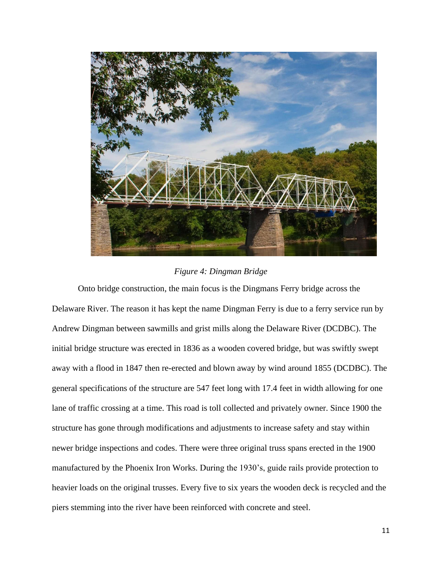

## *Figure 4: Dingman Bridge*

Onto bridge construction, the main focus is the Dingmans Ferry bridge across the Delaware River. The reason it has kept the name Dingman Ferry is due to a ferry service run by Andrew Dingman between sawmills and grist mills along the Delaware River (DCDBC). The initial bridge structure was erected in 1836 as a wooden covered bridge, but was swiftly swept away with a flood in 1847 then re-erected and blown away by wind around 1855 (DCDBC). The general specifications of the structure are 547 feet long with 17.4 feet in width allowing for one lane of traffic crossing at a time. This road is toll collected and privately owner. Since 1900 the structure has gone through modifications and adjustments to increase safety and stay within newer bridge inspections and codes. There were three original truss spans erected in the 1900 manufactured by the Phoenix Iron Works. During the 1930's, guide rails provide protection to heavier loads on the original trusses. Every five to six years the wooden deck is recycled and the piers stemming into the river have been reinforced with concrete and steel.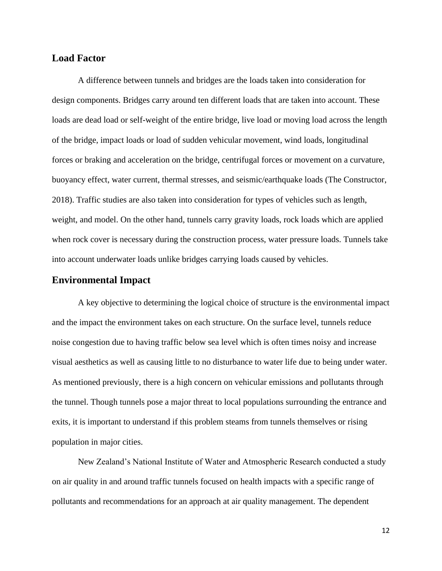## **Load Factor**

A difference between tunnels and bridges are the loads taken into consideration for design components. Bridges carry around ten different loads that are taken into account. These loads are dead load or self-weight of the entire bridge, live load or moving load across the length of the bridge, impact loads or load of sudden vehicular movement, wind loads, longitudinal forces or braking and acceleration on the bridge, centrifugal forces or movement on a curvature, buoyancy effect, water current, thermal stresses, and seismic/earthquake loads (The Constructor, 2018). Traffic studies are also taken into consideration for types of vehicles such as length, weight, and model. On the other hand, tunnels carry gravity loads, rock loads which are applied when rock cover is necessary during the construction process, water pressure loads. Tunnels take into account underwater loads unlike bridges carrying loads caused by vehicles.

## **Environmental Impact**

A key objective to determining the logical choice of structure is the environmental impact and the impact the environment takes on each structure. On the surface level, tunnels reduce noise congestion due to having traffic below sea level which is often times noisy and increase visual aesthetics as well as causing little to no disturbance to water life due to being under water. As mentioned previously, there is a high concern on vehicular emissions and pollutants through the tunnel. Though tunnels pose a major threat to local populations surrounding the entrance and exits, it is important to understand if this problem steams from tunnels themselves or rising population in major cities.

New Zealand's National Institute of Water and Atmospheric Research conducted a study on air quality in and around traffic tunnels focused on health impacts with a specific range of pollutants and recommendations for an approach at air quality management. The dependent

12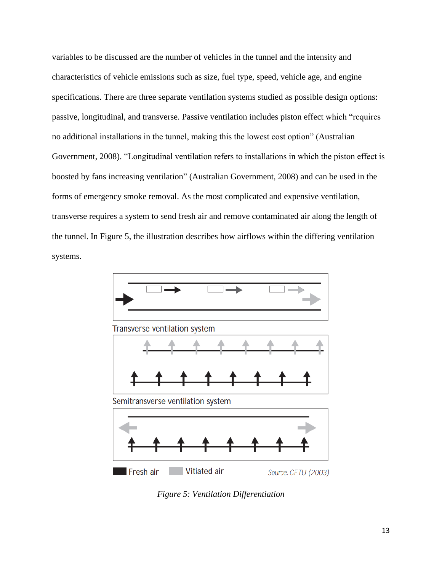variables to be discussed are the number of vehicles in the tunnel and the intensity and characteristics of vehicle emissions such as size, fuel type, speed, vehicle age, and engine specifications. There are three separate ventilation systems studied as possible design options: passive, longitudinal, and transverse. Passive ventilation includes piston effect which "requires no additional installations in the tunnel, making this the lowest cost option" (Australian Government, 2008). "Longitudinal ventilation refers to installations in which the piston effect is boosted by fans increasing ventilation" (Australian Government, 2008) and can be used in the forms of emergency smoke removal. As the most complicated and expensive ventilation, transverse requires a system to send fresh air and remove contaminated air along the length of the tunnel. In Figure 5, the illustration describes how airflows within the differing ventilation systems.



*Figure 5: Ventilation Differentiation*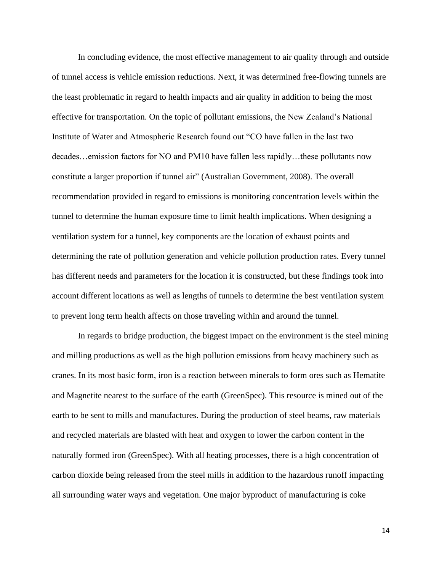In concluding evidence, the most effective management to air quality through and outside of tunnel access is vehicle emission reductions. Next, it was determined free-flowing tunnels are the least problematic in regard to health impacts and air quality in addition to being the most effective for transportation. On the topic of pollutant emissions, the New Zealand's National Institute of Water and Atmospheric Research found out "CO have fallen in the last two decades…emission factors for NO and PM10 have fallen less rapidly…these pollutants now constitute a larger proportion if tunnel air" (Australian Government, 2008). The overall recommendation provided in regard to emissions is monitoring concentration levels within the tunnel to determine the human exposure time to limit health implications. When designing a ventilation system for a tunnel, key components are the location of exhaust points and determining the rate of pollution generation and vehicle pollution production rates. Every tunnel has different needs and parameters for the location it is constructed, but these findings took into account different locations as well as lengths of tunnels to determine the best ventilation system to prevent long term health affects on those traveling within and around the tunnel.

In regards to bridge production, the biggest impact on the environment is the steel mining and milling productions as well as the high pollution emissions from heavy machinery such as cranes. In its most basic form, iron is a reaction between minerals to form ores such as Hematite and Magnetite nearest to the surface of the earth (GreenSpec). This resource is mined out of the earth to be sent to mills and manufactures. During the production of steel beams, raw materials and recycled materials are blasted with heat and oxygen to lower the carbon content in the naturally formed iron (GreenSpec). With all heating processes, there is a high concentration of carbon dioxide being released from the steel mills in addition to the hazardous runoff impacting all surrounding water ways and vegetation. One major byproduct of manufacturing is coke

14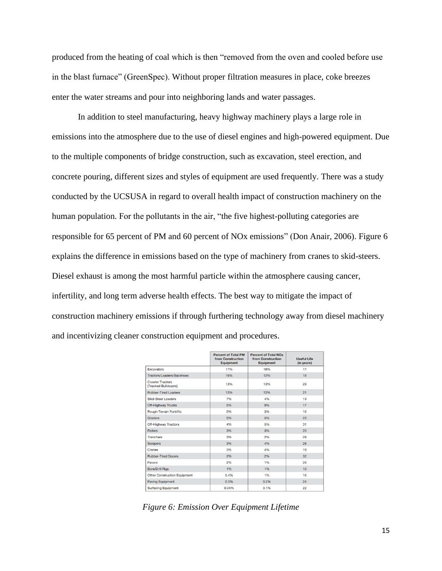produced from the heating of coal which is then "removed from the oven and cooled before use in the blast furnace" (GreenSpec). Without proper filtration measures in place, coke breezes enter the water streams and pour into neighboring lands and water passages.

In addition to steel manufacturing, heavy highway machinery plays a large role in emissions into the atmosphere due to the use of diesel engines and high-powered equipment. Due to the multiple components of bridge construction, such as excavation, steel erection, and concrete pouring, different sizes and styles of equipment are used frequently. There was a study conducted by the UCSUSA in regard to overall health impact of construction machinery on the human population. For the pollutants in the air, "the five highest-polluting categories are responsible for 65 percent of PM and 60 percent of NOx emissions" (Don Anair, 2006). Figure 6 explains the difference in emissions based on the type of machinery from cranes to skid-steers. Diesel exhaust is among the most harmful particle within the atmosphere causing cancer, infertility, and long term adverse health effects. The best way to mitigate the impact of construction machinery emissions if through furthering technology away from diesel machinery and incentivizing cleaner construction equipment and procedures.

|                                                 | <b>Percent of Total PM</b><br>from Construction<br><b>Equipment</b> | <b>Percent of Total NOx</b><br>from Construction<br><b>Equipment</b> | <b>Useful Life</b><br>(in years) |
|-------------------------------------------------|---------------------------------------------------------------------|----------------------------------------------------------------------|----------------------------------|
| <b>Excavators</b>                               | 17%                                                                 | 18%                                                                  | 17                               |
| Tractors/Loaders/Backhoes                       | 16%                                                                 | 12%                                                                  | 18                               |
| <b>Crawler Tractors</b><br>(Tracked Bulldozers) | 13%                                                                 | 13%                                                                  | 29                               |
| <b>Rubber-Tired Loaders</b>                     | 12%                                                                 | 12%                                                                  | 21                               |
| <b>Skid-Steer Loaders</b>                       | 7%                                                                  | 4%                                                                   | 13                               |
| <b>Off-Highway Trucks</b>                       | 5%                                                                  | 9%                                                                   | 17                               |
| <b>Rough-Terrain Forklifts</b>                  | 5%                                                                  | 3%                                                                   | 16                               |
| Graders                                         | 5%                                                                  | 5%                                                                   | 23                               |
| <b>Off-Highway Tractors</b>                     | 4%                                                                  | 5%                                                                   | 31                               |
| <b>Rollers</b>                                  | 3%                                                                  | 3%                                                                   | 20                               |
| <b>Trenchers</b>                                | 3%                                                                  | 2%                                                                   | 28                               |
| <b>Scrapers</b>                                 | 3%                                                                  | 4%                                                                   | 26                               |
| Cranes                                          | 3%                                                                  | 4%                                                                   | 19                               |
| <b>Rubber-Tired Dozers</b>                      | 2%                                                                  | 2%                                                                   | 32                               |
| <b>Pavers</b>                                   | 2%                                                                  | 1%                                                                   | 26                               |
| <b>Bore/Drill Rigs</b>                          | 1%                                                                  | 1%                                                                   | 10                               |
| <b>Other Construction Equipment</b>             | 0.4%                                                                | 1%                                                                   | 16                               |
| <b>Paving Equipment</b>                         | 0.3%                                                                | 0.2%                                                                 | 24                               |
| <b>Surfacing Equipment</b>                      | 0.04%                                                               | 0.1%                                                                 | 22                               |

*Figure 6: Emission Over Equipment Lifetime*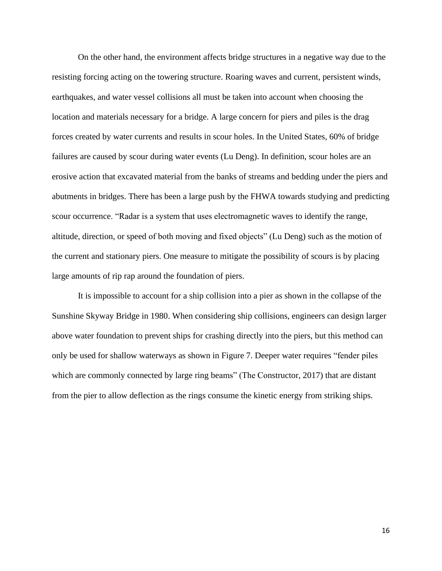On the other hand, the environment affects bridge structures in a negative way due to the resisting forcing acting on the towering structure. Roaring waves and current, persistent winds, earthquakes, and water vessel collisions all must be taken into account when choosing the location and materials necessary for a bridge. A large concern for piers and piles is the drag forces created by water currents and results in scour holes. In the United States, 60% of bridge failures are caused by scour during water events (Lu Deng). In definition, scour holes are an erosive action that excavated material from the banks of streams and bedding under the piers and abutments in bridges. There has been a large push by the FHWA towards studying and predicting scour occurrence. "Radar is a system that uses electromagnetic waves to identify the range, altitude, direction, or speed of both moving and fixed objects" (Lu Deng) such as the motion of the current and stationary piers. One measure to mitigate the possibility of scours is by placing large amounts of rip rap around the foundation of piers.

It is impossible to account for a ship collision into a pier as shown in the collapse of the Sunshine Skyway Bridge in 1980. When considering ship collisions, engineers can design larger above water foundation to prevent ships for crashing directly into the piers, but this method can only be used for shallow waterways as shown in Figure 7. Deeper water requires "fender piles which are commonly connected by large ring beams" (The Constructor, 2017) that are distant from the pier to allow deflection as the rings consume the kinetic energy from striking ships.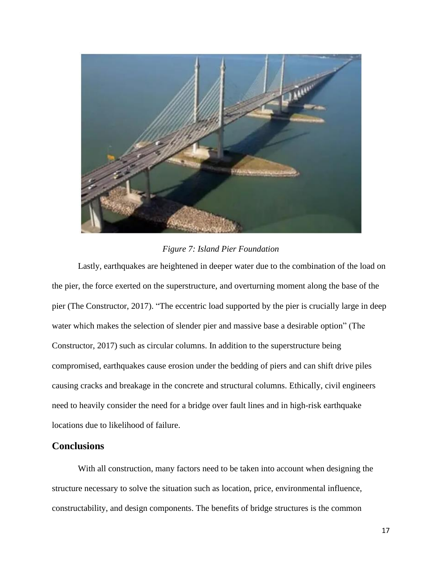

### *Figure 7: Island Pier Foundation*

Lastly, earthquakes are heightened in deeper water due to the combination of the load on the pier, the force exerted on the superstructure, and overturning moment along the base of the pier (The Constructor, 2017). "The eccentric load supported by the pier is crucially large in deep water which makes the selection of slender pier and massive base a desirable option" (The Constructor, 2017) such as circular columns. In addition to the superstructure being compromised, earthquakes cause erosion under the bedding of piers and can shift drive piles causing cracks and breakage in the concrete and structural columns. Ethically, civil engineers need to heavily consider the need for a bridge over fault lines and in high-risk earthquake locations due to likelihood of failure.

## **Conclusions**

With all construction, many factors need to be taken into account when designing the structure necessary to solve the situation such as location, price, environmental influence, constructability, and design components. The benefits of bridge structures is the common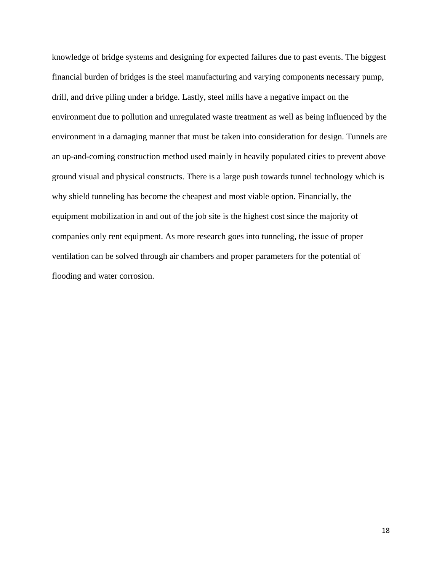knowledge of bridge systems and designing for expected failures due to past events. The biggest financial burden of bridges is the steel manufacturing and varying components necessary pump, drill, and drive piling under a bridge. Lastly, steel mills have a negative impact on the environment due to pollution and unregulated waste treatment as well as being influenced by the environment in a damaging manner that must be taken into consideration for design. Tunnels are an up-and-coming construction method used mainly in heavily populated cities to prevent above ground visual and physical constructs. There is a large push towards tunnel technology which is why shield tunneling has become the cheapest and most viable option. Financially, the equipment mobilization in and out of the job site is the highest cost since the majority of companies only rent equipment. As more research goes into tunneling, the issue of proper ventilation can be solved through air chambers and proper parameters for the potential of flooding and water corrosion.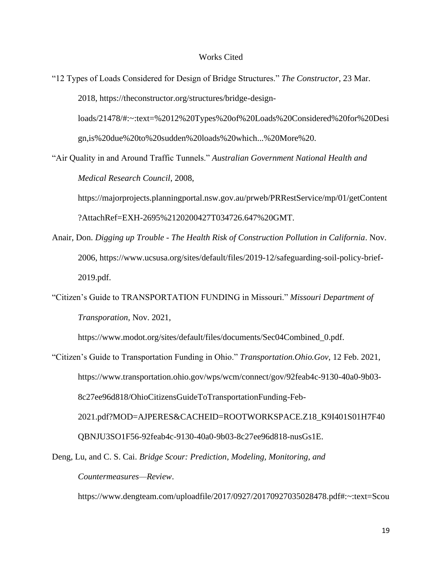#### Works Cited

"12 Types of Loads Considered for Design of Bridge Structures." *The Constructor*, 23 Mar. 2018, https://theconstructor.org/structures/bridge-design-

loads/21478/#:~:text=%2012%20Types%20of%20Loads%20Considered%20for%20Desi gn,is%20due%20to%20sudden%20loads%20which...%20More%20.

"Air Quality in and Around Traffic Tunnels." *Australian Government National Health and Medical Research Council*, 2008,

https://majorprojects.planningportal.nsw.gov.au/prweb/PRRestService/mp/01/getContent ?AttachRef=EXH-2695%2120200427T034726.647%20GMT.

- Anair, Don. *Digging up Trouble - The Health Risk of Construction Pollution in California*. Nov. 2006, https://www.ucsusa.org/sites/default/files/2019-12/safeguarding-soil-policy-brief-2019.pdf.
- "Citizen's Guide to TRANSPORTATION FUNDING in Missouri." *Missouri Department of Transporation*, Nov. 2021,

https://www.modot.org/sites/default/files/documents/Sec04Combined\_0.pdf.

"Citizen's Guide to Transportation Funding in Ohio." *Transportation.Ohio.Gov*, 12 Feb. 2021, https://www.transportation.ohio.gov/wps/wcm/connect/gov/92feab4c-9130-40a0-9b03- 8c27ee96d818/OhioCitizensGuideToTransportationFunding-Feb-2021.pdf?MOD=AJPERES&CACHEID=ROOTWORKSPACE.Z18\_K9I401S01H7F40 QBNJU3SO1F56-92feab4c-9130-40a0-9b03-8c27ee96d818-nusGs1E.

Deng, Lu, and C. S. Cai. *Bridge Scour: Prediction, Modeling, Monitoring, and Countermeasures—Review*.

https://www.dengteam.com/uploadfile/2017/0927/20170927035028478.pdf#:~:text=Scou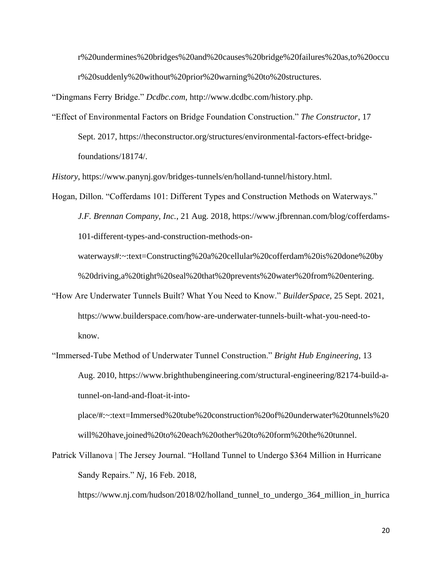r%20undermines%20bridges%20and%20causes%20bridge%20failures%20as,to%20occu r%20suddenly%20without%20prior%20warning%20to%20structures.

"Dingmans Ferry Bridge." *Dcdbc.com*, http://www.dcdbc.com/history.php.

"Effect of Environmental Factors on Bridge Foundation Construction." *The Constructor*, 17 Sept. 2017, https://theconstructor.org/structures/environmental-factors-effect-bridgefoundations/18174/.

*History*, https://www.panynj.gov/bridges-tunnels/en/holland-tunnel/history.html.

Hogan, Dillon. "Cofferdams 101: Different Types and Construction Methods on Waterways." *J.F. Brennan Company, Inc.*, 21 Aug. 2018, https://www.jfbrennan.com/blog/cofferdams-101-different-types-and-construction-methods-onwaterways#:~:text=Constructing%20a%20cellular%20cofferdam%20is%20done%20by %20driving,a%20tight%20seal%20that%20prevents%20water%20from%20entering.

- "How Are Underwater Tunnels Built? What You Need to Know." *BuilderSpace*, 25 Sept. 2021, https://www.builderspace.com/how-are-underwater-tunnels-built-what-you-need-toknow.
- "Immersed-Tube Method of Underwater Tunnel Construction." *Bright Hub Engineering*, 13 Aug. 2010, https://www.brighthubengineering.com/structural-engineering/82174-build-atunnel-on-land-and-float-it-into-

place/#:~:text=Immersed%20tube%20construction%20of%20underwater%20tunnels%20 will%20have,joined%20to%20each%20other%20to%20form%20the%20tunnel.

Patrick Villanova | The Jersey Journal. "Holland Tunnel to Undergo \$364 Million in Hurricane Sandy Repairs." *Nj*, 16 Feb. 2018,

https://www.nj.com/hudson/2018/02/holland\_tunnel\_to\_undergo\_364\_million\_in\_hurrica